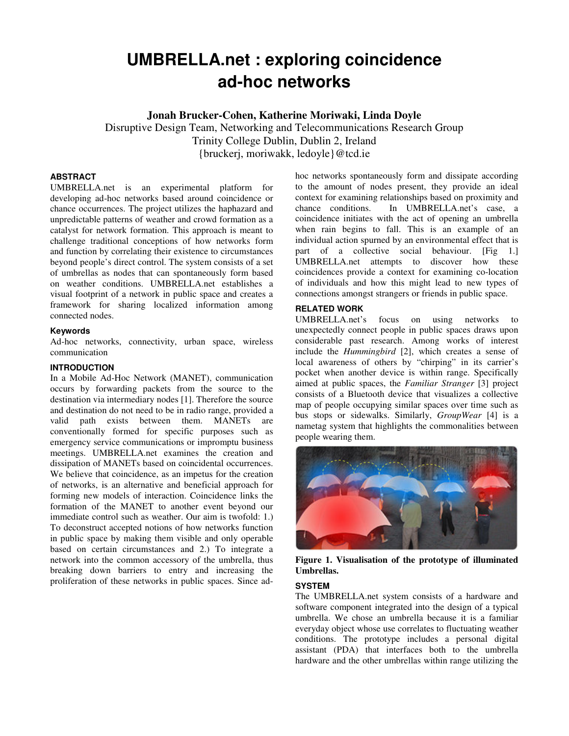# **UMBRELLA.net : exploring coincidence ad-hoc networks**

**Jonah Brucker-Cohen, Katherine Moriwaki, Linda Doyle**

Disruptive Design Team, Networking and Telecommunications Research Group Trinity College Dublin, Dublin 2, Ireland {bruckerj, moriwakk, ledoyle}@tcd.ie

## **ABSTRACT**

UMBRELLA.net is an experimental platform for developing ad-hoc networks based around coincidence or chance occurrences. The project utilizes the haphazard and unpredictable patterns of weather and crowd formation as a catalyst for network formation. This approach is meant to challenge traditional conceptions of how networks form and function by correlating their existence to circumstances beyond people's direct control. The system consists of a set of umbrellas as nodes that can spontaneously form based on weather conditions. UMBRELLA.net establishes a visual footprint of a network in public space and creates a framework for sharing localized information among connected nodes.

#### **Keywords**

Ad-hoc networks, connectivity, urban space, wireless communication

### **INTRODUCTION**

In a Mobile Ad-Hoc Network (MANET), communication occurs by forwarding packets from the source to the destination via intermediary nodes [1]. Therefore the source and destination do not need to be in radio range, provided a valid path exists between them. MANETs are conventionally formed for specific purposes such as emergency service communications or impromptu business meetings. UMBRELLA.net examines the creation and dissipation of MANETs based on coincidental occurrences. We believe that coincidence, as an impetus for the creation of networks, is an alternative and beneficial approach for forming new models of interaction. Coincidence links the formation of the MANET to another event beyond our immediate control such as weather. Our aim is twofold: 1.) To deconstruct accepted notions of how networks function in public space by making them visible and only operable based on certain circumstances and 2.) To integrate a network into the common accessory of the umbrella, thus breaking down barriers to entry and increasing the proliferation of these networks in public spaces. Since adhoc networks spontaneously form and dissipate according to the amount of nodes present, they provide an ideal context for examining relationships based on proximity and chance conditions. In UMBRELLA.net's case, a coincidence initiates with the act of opening an umbrella when rain begins to fall. This is an example of an individual action spurned by an environmental effect that is part of a collective social behaviour. [Fig 1.] UMBRELLA.net attempts to discover how these coincidences provide a context for examining co-location of individuals and how this might lead to new types of connections amongst strangers or friends in public space.

# **RELATED WORK**

UMBRELLA.net's focus on using networks to unexpectedly connect people in public spaces draws upon considerable past research. Among works of interest include the *Hummingbird* [2], which creates a sense of local awareness of others by "chirping" in its carrier's pocket when another device is within range. Specifically aimed at public spaces, the *Familiar Stranger* [3] project consists of a Bluetooth device that visualizes a collective map of people occupying similar spaces over time such as bus stops or sidewalks. Similarly, *GroupWear* [4] is a nametag system that highlights the commonalities between people wearing them.



**Figure 1. Visualisation of the prototype of illuminated Umbrellas.**

#### **SYSTEM**

The UMBRELLA.net system consists of a hardware and software component integrated into the design of a typical umbrella. We chose an umbrella because it is a familiar everyday object whose use correlates to fluctuating weather conditions. The prototype includes a personal digital assistant (PDA) that interfaces both to the umbrella hardware and the other umbrellas within range utilizing the